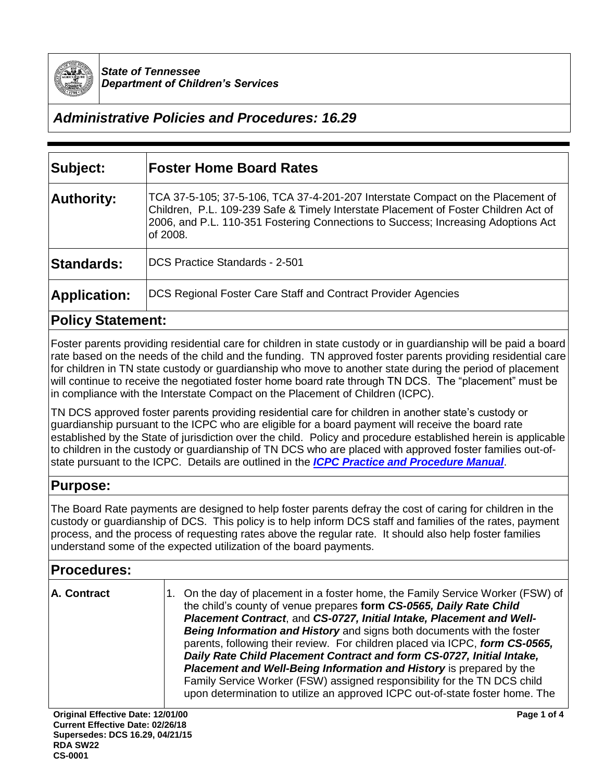

*State of Tennessee Department of Children's Services*

# *Administrative Policies and Procedures: 16.29*

| Subject:            | <b>Foster Home Board Rates</b>                                                                                                                                                                                                                                          |
|---------------------|-------------------------------------------------------------------------------------------------------------------------------------------------------------------------------------------------------------------------------------------------------------------------|
| <b>Authority:</b>   | TCA 37-5-105; 37-5-106, TCA 37-4-201-207 Interstate Compact on the Placement of<br>Children, P.L. 109-239 Safe & Timely Interstate Placement of Foster Children Act of<br>2006, and P.L. 110-351 Fostering Connections to Success; Increasing Adoptions Act<br>of 2008. |
| Standards:          | DCS Practice Standards - 2-501                                                                                                                                                                                                                                          |
| <b>Application:</b> | DCS Regional Foster Care Staff and Contract Provider Agencies                                                                                                                                                                                                           |

#### **Policy Statement:**

Foster parents providing residential care for children in state custody or in guardianship will be paid a board rate based on the needs of the child and the funding. TN approved foster parents providing residential care for children in TN state custody or guardianship who move to another state during the period of placement will continue to receive the negotiated foster home board rate through TN DCS. The "placement" must be in compliance with the Interstate Compact on the Placement of Children (ICPC).

TN DCS approved foster parents providing residential care for children in another state's custody or guardianship pursuant to the ICPC who are eligible for a board payment will receive the board rate established by the State of jurisdiction over the child. Policy and procedure established herein is applicable to children in the custody or guardianship of TN DCS who are placed with approved foster families out-ofstate pursuant to the ICPC. Details are outlined in the *[ICPC Practice and Procedure Manual](https://files.dcs.tn.gov/policies/chap1/ICPCProceduresManual.pdf)*.

## **Purpose:**

The Board Rate payments are designed to help foster parents defray the cost of caring for children in the custody or guardianship of DCS. This policy is to help inform DCS staff and families of the rates, payment process, and the process of requesting rates above the regular rate. It should also help foster families understand some of the expected utilization of the board payments.

## **Procedures:**

| A. Contract | 1. On the day of placement in a foster home, the Family Service Worker (FSW) of<br>the child's county of venue prepares form CS-0565, Daily Rate Child<br>Placement Contract, and CS-0727, Initial Intake, Placement and Well-         |
|-------------|----------------------------------------------------------------------------------------------------------------------------------------------------------------------------------------------------------------------------------------|
|             | <b>Being Information and History</b> and signs both documents with the foster<br>parents, following their review. For children placed via ICPC, form CS-0565,<br>Daily Rate Child Placement Contract and form CS-0727, Initial Intake, |
|             | <b>Placement and Well-Being Information and History is prepared by the</b><br>Family Service Worker (FSW) assigned responsibility for the TN DCS child<br>upon determination to utilize an approved ICPC out-of-state foster home. The |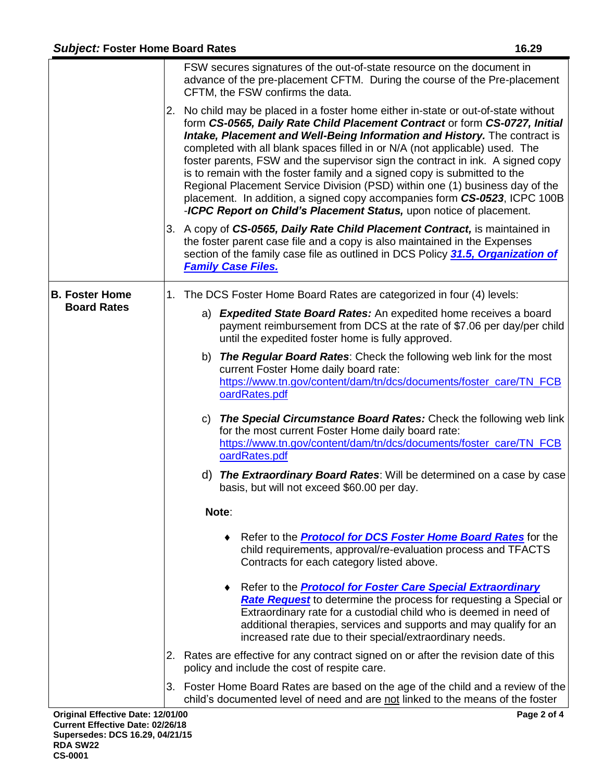|                                             | FSW secures signatures of the out-of-state resource on the document in<br>advance of the pre-placement CFTM. During the course of the Pre-placement<br>CFTM, the FSW confirms the data.<br>2. No child may be placed in a foster home either in-state or out-of-state without<br>form CS-0565, Daily Rate Child Placement Contract or form CS-0727, Initial<br>Intake, Placement and Well-Being Information and History. The contract is<br>completed with all blank spaces filled in or N/A (not applicable) used. The<br>foster parents, FSW and the supervisor sign the contract in ink. A signed copy<br>is to remain with the foster family and a signed copy is submitted to the<br>Regional Placement Service Division (PSD) within one (1) business day of the<br>placement. In addition, a signed copy accompanies form CS-0523, ICPC 100B<br>-ICPC Report on Child's Placement Status, upon notice of placement.<br>3. A copy of CS-0565, Daily Rate Child Placement Contract, is maintained in<br>the foster parent case file and a copy is also maintained in the Expenses<br>section of the family case file as outlined in DCS Policy 31.5, Organization of |
|---------------------------------------------|---------------------------------------------------------------------------------------------------------------------------------------------------------------------------------------------------------------------------------------------------------------------------------------------------------------------------------------------------------------------------------------------------------------------------------------------------------------------------------------------------------------------------------------------------------------------------------------------------------------------------------------------------------------------------------------------------------------------------------------------------------------------------------------------------------------------------------------------------------------------------------------------------------------------------------------------------------------------------------------------------------------------------------------------------------------------------------------------------------------------------------------------------------------------------|
|                                             | <b>Family Case Files.</b>                                                                                                                                                                                                                                                                                                                                                                                                                                                                                                                                                                                                                                                                                                                                                                                                                                                                                                                                                                                                                                                                                                                                                 |
| <b>B. Foster Home</b><br><b>Board Rates</b> | 1. The DCS Foster Home Board Rates are categorized in four (4) levels:                                                                                                                                                                                                                                                                                                                                                                                                                                                                                                                                                                                                                                                                                                                                                                                                                                                                                                                                                                                                                                                                                                    |
|                                             | a) Expedited State Board Rates: An expedited home receives a board<br>payment reimbursement from DCS at the rate of \$7.06 per day/per child<br>until the expedited foster home is fully approved.                                                                                                                                                                                                                                                                                                                                                                                                                                                                                                                                                                                                                                                                                                                                                                                                                                                                                                                                                                        |
|                                             | <b>The Regular Board Rates:</b> Check the following web link for the most<br>b)<br>current Foster Home daily board rate:<br>https://www.tn.gov/content/dam/tn/dcs/documents/foster_care/TN_FCB<br>oardRates.pdf                                                                                                                                                                                                                                                                                                                                                                                                                                                                                                                                                                                                                                                                                                                                                                                                                                                                                                                                                           |
|                                             | c) The Special Circumstance Board Rates: Check the following web link<br>for the most current Foster Home daily board rate:<br>https://www.tn.gov/content/dam/tn/dcs/documents/foster_care/TN_FCB<br>oardRates.pdf                                                                                                                                                                                                                                                                                                                                                                                                                                                                                                                                                                                                                                                                                                                                                                                                                                                                                                                                                        |
|                                             | d) The Extraordinary Board Rates: Will be determined on a case by case<br>basis, but will not exceed \$60.00 per day.                                                                                                                                                                                                                                                                                                                                                                                                                                                                                                                                                                                                                                                                                                                                                                                                                                                                                                                                                                                                                                                     |
|                                             | Note:                                                                                                                                                                                                                                                                                                                                                                                                                                                                                                                                                                                                                                                                                                                                                                                                                                                                                                                                                                                                                                                                                                                                                                     |
|                                             | ◆ Refer to the <b>Protocol for DCS Foster Home Board Rates</b> for the<br>child requirements, approval/re-evaluation process and TFACTS<br>Contracts for each category listed above.                                                                                                                                                                                                                                                                                                                                                                                                                                                                                                                                                                                                                                                                                                                                                                                                                                                                                                                                                                                      |
|                                             | Refer to the <b>Protocol for Foster Care Special Extraordinary</b><br>٠<br>Rate Request to determine the process for requesting a Special or<br>Extraordinary rate for a custodial child who is deemed in need of<br>additional therapies, services and supports and may qualify for an<br>increased rate due to their special/extraordinary needs.                                                                                                                                                                                                                                                                                                                                                                                                                                                                                                                                                                                                                                                                                                                                                                                                                       |
|                                             | 2. Rates are effective for any contract signed on or after the revision date of this<br>policy and include the cost of respite care.                                                                                                                                                                                                                                                                                                                                                                                                                                                                                                                                                                                                                                                                                                                                                                                                                                                                                                                                                                                                                                      |
|                                             | 3. Foster Home Board Rates are based on the age of the child and a review of the<br>child's documented level of need and are not linked to the means of the foster                                                                                                                                                                                                                                                                                                                                                                                                                                                                                                                                                                                                                                                                                                                                                                                                                                                                                                                                                                                                        |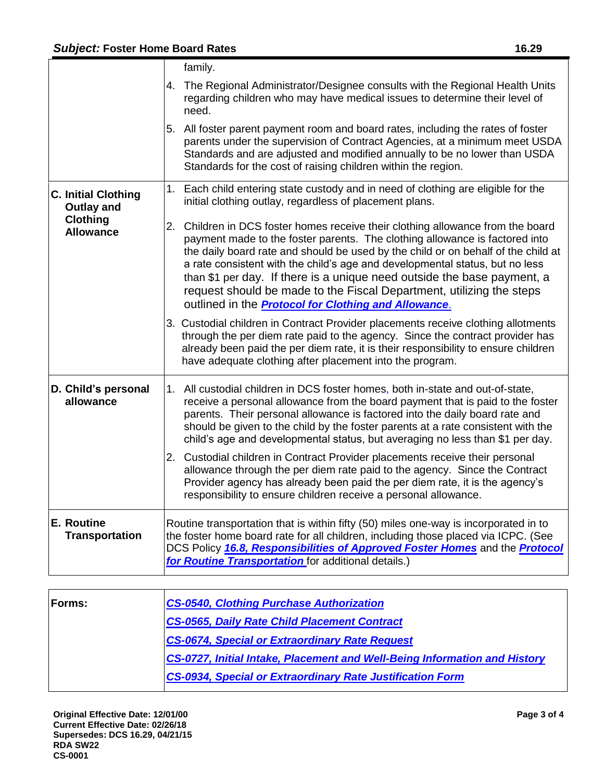|                                                 | family.                                                                                                                                                                                                                                                                                                                                                                                                                                                                                                                                                |
|-------------------------------------------------|--------------------------------------------------------------------------------------------------------------------------------------------------------------------------------------------------------------------------------------------------------------------------------------------------------------------------------------------------------------------------------------------------------------------------------------------------------------------------------------------------------------------------------------------------------|
|                                                 | 4. The Regional Administrator/Designee consults with the Regional Health Units<br>regarding children who may have medical issues to determine their level of<br>need.                                                                                                                                                                                                                                                                                                                                                                                  |
|                                                 | 5. All foster parent payment room and board rates, including the rates of foster<br>parents under the supervision of Contract Agencies, at a minimum meet USDA<br>Standards and are adjusted and modified annually to be no lower than USDA<br>Standards for the cost of raising children within the region.                                                                                                                                                                                                                                           |
| <b>C. Initial Clothing</b><br><b>Outlay and</b> | 1. Each child entering state custody and in need of clothing are eligible for the<br>initial clothing outlay, regardless of placement plans.                                                                                                                                                                                                                                                                                                                                                                                                           |
| <b>Clothing</b><br><b>Allowance</b>             | 2. Children in DCS foster homes receive their clothing allowance from the board<br>payment made to the foster parents. The clothing allowance is factored into<br>the daily board rate and should be used by the child or on behalf of the child at<br>a rate consistent with the child's age and developmental status, but no less<br>than \$1 per day. If there is a unique need outside the base payment, a<br>request should be made to the Fiscal Department, utilizing the steps<br>outlined in the <b>Protocol for Clothing and Allowance</b> . |
|                                                 | 3. Custodial children in Contract Provider placements receive clothing allotments<br>through the per diem rate paid to the agency. Since the contract provider has<br>already been paid the per diem rate, it is their responsibility to ensure children<br>have adequate clothing after placement into the program.                                                                                                                                                                                                                                   |
| D. Child's personal<br>allowance                | 1. All custodial children in DCS foster homes, both in-state and out-of-state,<br>receive a personal allowance from the board payment that is paid to the foster<br>parents. Their personal allowance is factored into the daily board rate and<br>should be given to the child by the foster parents at a rate consistent with the<br>child's age and developmental status, but averaging no less than \$1 per day.                                                                                                                                   |
|                                                 | 2. Custodial children in Contract Provider placements receive their personal<br>allowance through the per diem rate paid to the agency. Since the Contract<br>Provider agency has already been paid the per diem rate, it is the agency's<br>responsibility to ensure children receive a personal allowance.                                                                                                                                                                                                                                           |
| E. Routine<br><b>Transportation</b>             | Routine transportation that is within fifty (50) miles one-way is incorporated in to<br>the foster home board rate for all children, including those placed via ICPC. (See<br>DCS Policy 16.8, Responsibilities of Approved Foster Homes and the Protocol<br>for Routine Transportation for additional details.)                                                                                                                                                                                                                                       |

| <b>Forms:</b> | <b>CS-0540, Clothing Purchase Authorization</b>                                  |
|---------------|----------------------------------------------------------------------------------|
|               | <b>CS-0565, Daily Rate Child Placement Contract</b>                              |
|               | <b>CS-0674, Special or Extraordinary Rate Request</b>                            |
|               | <b>CS-0727, Initial Intake, Placement and Well-Being Information and History</b> |
|               | <b>CS-0934, Special or Extraordinary Rate Justification Form</b>                 |
|               |                                                                                  |